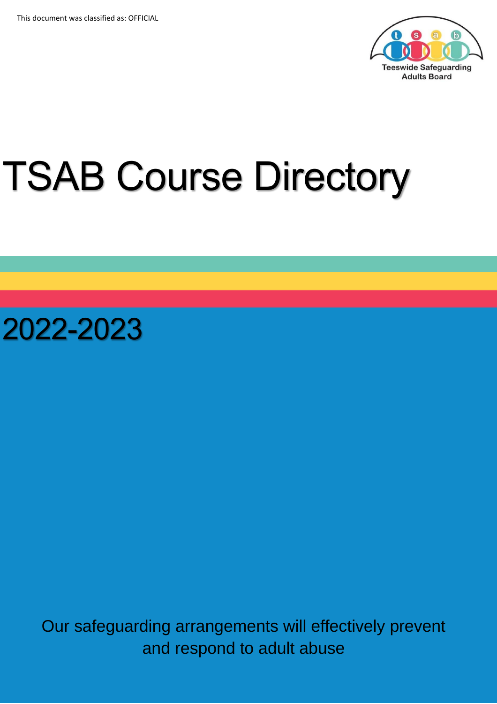

# TSAB Course Directory

2022-2023

Our safeguarding arrangements will effectively prevent and respond to adult abuse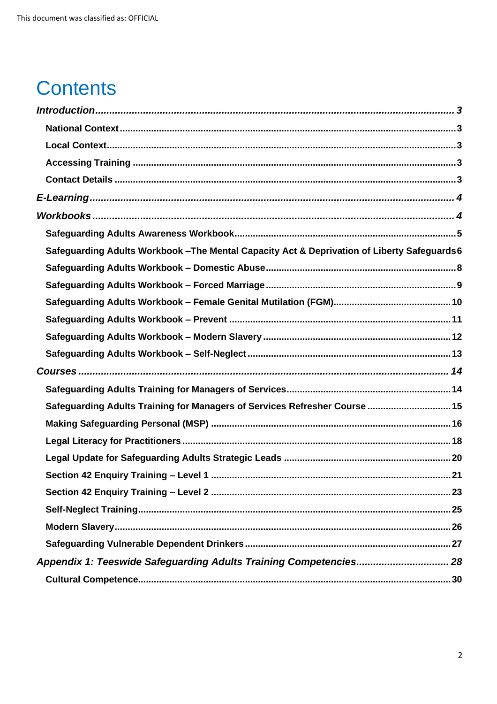# **Contents**

| Safeguarding Adults Workbook - The Mental Capacity Act & Deprivation of Liberty Safeguards 6 |
|----------------------------------------------------------------------------------------------|
|                                                                                              |
|                                                                                              |
|                                                                                              |
|                                                                                              |
|                                                                                              |
|                                                                                              |
|                                                                                              |
|                                                                                              |
| Safeguarding Adults Training for Managers of Services Refresher Course  15                   |
|                                                                                              |
|                                                                                              |
|                                                                                              |
|                                                                                              |
|                                                                                              |
|                                                                                              |
|                                                                                              |
|                                                                                              |
| Appendix 1: Teeswide Safeguarding Adults Training Competencies 28                            |
|                                                                                              |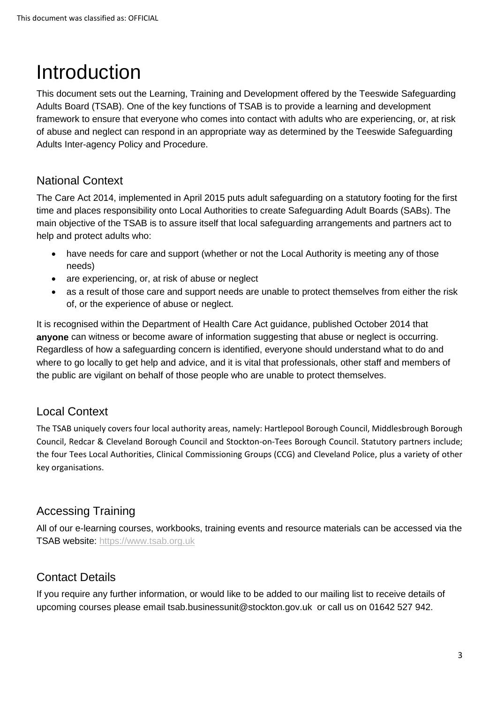# <span id="page-2-0"></span>**Introduction**

This document sets out the Learning, Training and Development offered by the Teeswide Safeguarding Adults Board (TSAB). One of the key functions of TSAB is to provide a learning and development framework to ensure that everyone who comes into contact with adults who are experiencing, or, at risk of abuse and neglect can respond in an appropriate way as determined by the Teeswide Safeguarding Adults Inter-agency Policy and Procedure.

# <span id="page-2-1"></span>National Context

The Care Act 2014, implemented in April 2015 puts adult safeguarding on a statutory footing for the first time and places responsibility onto Local Authorities to create Safeguarding Adult Boards (SABs). The main objective of the TSAB is to assure itself that local safeguarding arrangements and partners act to help and protect adults who:

- have needs for care and support (whether or not the Local Authority is meeting any of those needs)
- are experiencing, or, at risk of abuse or neglect
- as a result of those care and support needs are unable to protect themselves from either the risk of, or the experience of abuse or neglect.

It is recognised within the Department of Health Care Act guidance, published October 2014 that **anyone** can witness or become aware of information suggesting that abuse or neglect is occurring. Regardless of how a safeguarding concern is identified, everyone should understand what to do and where to go locally to get help and advice, and it is vital that professionals, other staff and members of the public are vigilant on behalf of those people who are unable to protect themselves.

# <span id="page-2-2"></span>Local Context

The TSAB uniquely covers four local authority areas, namely: Hartlepool Borough Council, Middlesbrough Borough Council, Redcar & Cleveland Borough Council and Stockton-on-Tees Borough Council. Statutory partners include; the four Tees Local Authorities, Clinical Commissioning Groups (CCG) and Cleveland Police, plus a variety of other key organisations.

# <span id="page-2-3"></span>Accessing Training

All of our e-learning courses, workbooks, training events and resource materials can be accessed via the TSAB website: [https://www.tsab.org.uk](https://www.tsab.org.uk/)

# <span id="page-2-4"></span>Contact Details

If you require any further information, or would like to be added to our mailing list to receive details of upcoming courses please email [tsab.businessunit@stockton.gov.uk](mailto:tsab.businessunit@stockton.gov.uk) or call us on 01642 527 942.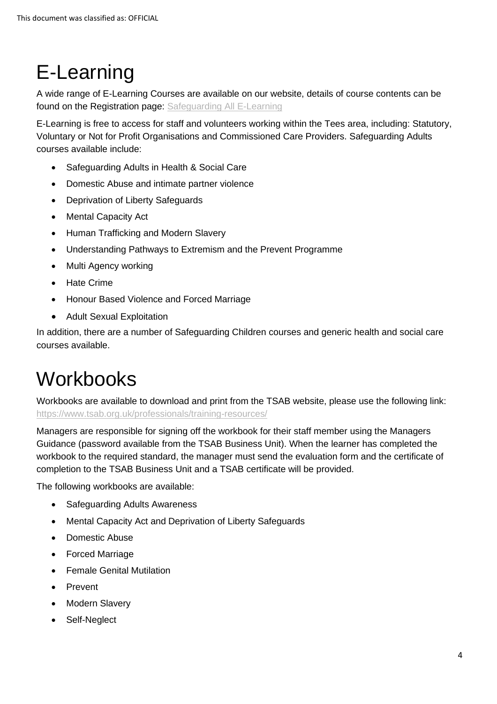# <span id="page-3-0"></span>E-Learning

A wide range of E-Learning Courses are available on our website, details of course contents can be found on the Registration page: [Safeguarding All E-Learning](https://www.tsab.org.uk/training/)

E-Learning is free to access for staff and volunteers working within the Tees area, including: Statutory, Voluntary or Not for Profit Organisations and Commissioned Care Providers. Safeguarding Adults courses available include:

- Safeguarding Adults in Health & Social Care
- Domestic Abuse and intimate partner violence
- Deprivation of Liberty Safeguards
- Mental Capacity Act
- Human Trafficking and Modern Slavery
- Understanding Pathways to Extremism and the Prevent Programme
- Multi Agency working
- Hate Crime
- Honour Based Violence and Forced Marriage
- Adult Sexual Exploitation

In addition, there are a number of Safeguarding Children courses and generic health and social care courses available.

# <span id="page-3-1"></span>**Workbooks**

Workbooks are available to download and print from the TSAB website, please use the following link: <https://www.tsab.org.uk/professionals/training-resources/>

Managers are responsible for signing off the workbook for their staff member using the Managers Guidance (password available from the TSAB Business Unit). When the learner has completed the workbook to the required standard, the manager must send the evaluation form and the certificate of completion to the TSAB Business Unit and a TSAB certificate will be provided.

The following workbooks are available:

- Safeguarding Adults Awareness
- Mental Capacity Act and Deprivation of Liberty Safeguards
- Domestic Abuse
- Forced Marriage
- Female Genital Mutilation
- **Prevent**
- **Modern Slavery**
- Self-Neglect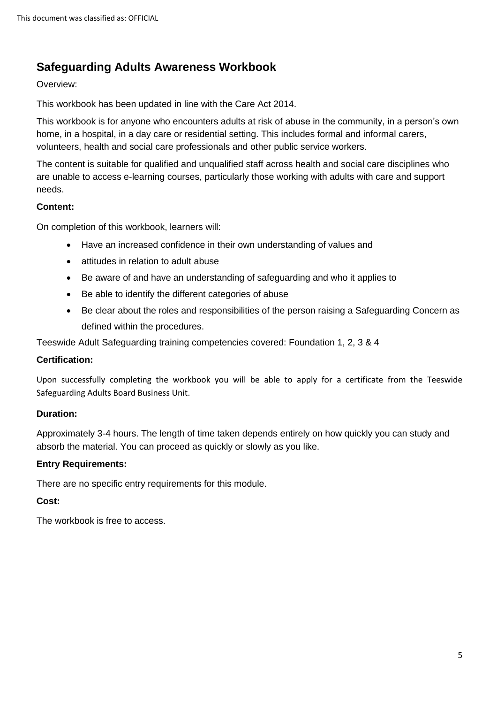### <span id="page-4-0"></span>**Safeguarding Adults Awareness Workbook**

#### Overview:

This workbook has been updated in line with the Care Act 2014.

This workbook is for anyone who encounters adults at risk of abuse in the community, in a person's own home, in a hospital, in a day care or residential setting. This includes formal and informal carers, volunteers, health and social care professionals and other public service workers.

The content is suitable for qualified and unqualified staff across health and social care disciplines who are unable to access e-learning courses, particularly those working with adults with care and support needs.

#### **Content:**

On completion of this workbook, learners will:

- Have an increased confidence in their own understanding of values and
- attitudes in relation to adult abuse
- Be aware of and have an understanding of safeguarding and who it applies to
- Be able to identify the different categories of abuse
- Be clear about the roles and responsibilities of the person raising a Safeguarding Concern as defined within the procedures.

Teeswide Adult Safeguarding training competencies covered: Foundation 1, 2, 3 & 4

#### **Certification:**

Upon successfully completing the workbook you will be able to apply for a certificate from the Teeswide Safeguarding Adults Board Business Unit.

#### **Duration:**

Approximately 3-4 hours. The length of time taken depends entirely on how quickly you can study and absorb the material. You can proceed as quickly or slowly as you like.

#### **Entry Requirements:**

There are no specific entry requirements for this module.

#### **Cost:**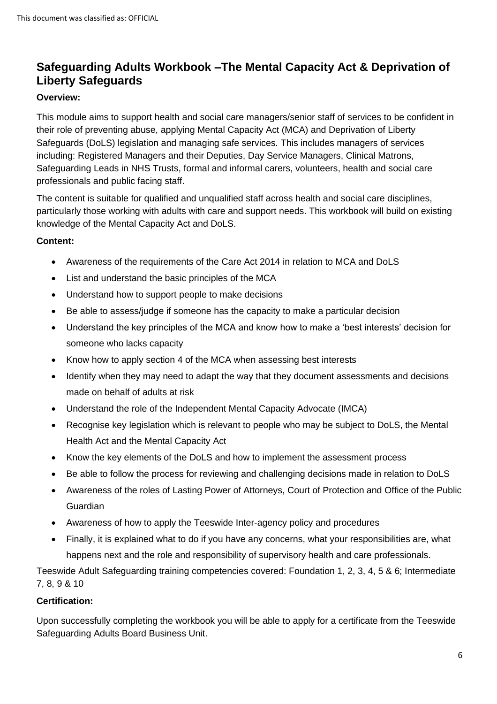### <span id="page-5-0"></span>**Safeguarding Adults Workbook –The Mental Capacity Act & Deprivation of Liberty Safeguards**

#### **Overview:**

This module aims to support health and social care managers/senior staff of services to be confident in their role of preventing abuse, applying Mental Capacity Act (MCA) and Deprivation of Liberty Safeguards (DoLS) legislation and managing safe services. This includes managers of services including: Registered Managers and their Deputies, Day Service Managers, Clinical Matrons, Safeguarding Leads in NHS Trusts, formal and informal carers, volunteers, health and social care professionals and public facing staff.

The content is suitable for qualified and unqualified staff across health and social care disciplines, particularly those working with adults with care and support needs. This workbook will build on existing knowledge of the Mental Capacity Act and DoLS.

#### **Content:**

- Awareness of the requirements of the Care Act 2014 in relation to MCA and DoLS
- List and understand the basic principles of the MCA
- Understand how to support people to make decisions
- Be able to assess/judge if someone has the capacity to make a particular decision
- Understand the key principles of the MCA and know how to make a 'best interests' decision for someone who lacks capacity
- Know how to apply section 4 of the MCA when assessing best interests
- Identify when they may need to adapt the way that they document assessments and decisions made on behalf of adults at risk
- Understand the role of the Independent Mental Capacity Advocate (IMCA)
- Recognise key legislation which is relevant to people who may be subject to DoLS, the Mental Health Act and the Mental Capacity Act
- Know the key elements of the DoLS and how to implement the assessment process
- Be able to follow the process for reviewing and challenging decisions made in relation to DoLS
- Awareness of the roles of Lasting Power of Attorneys, Court of Protection and Office of the Public Guardian
- Awareness of how to apply the Teeswide Inter-agency policy and procedures
- Finally, it is explained what to do if you have any concerns, what your responsibilities are, what happens next and the role and responsibility of supervisory health and care professionals.

Teeswide Adult Safeguarding training competencies covered: Foundation 1, 2, 3, 4, 5 & 6; Intermediate 7, 8, 9 & 10

#### **Certification:**

Upon successfully completing the workbook you will be able to apply for a certificate from the Teeswide Safeguarding Adults Board Business Unit.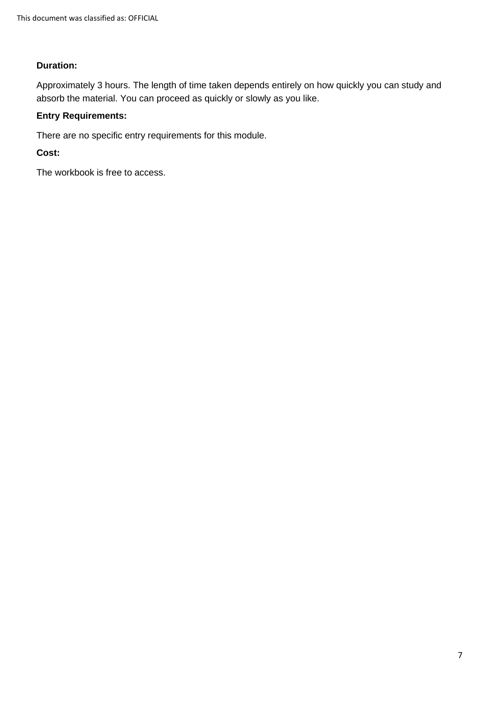#### **Duration:**

Approximately 3 hours. The length of time taken depends entirely on how quickly you can study and absorb the material. You can proceed as quickly or slowly as you like.

#### **Entry Requirements:**

There are no specific entry requirements for this module.

**Cost:**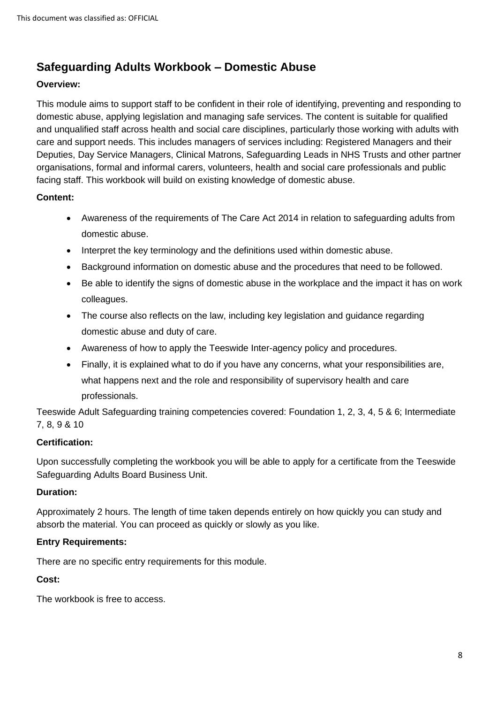# <span id="page-7-0"></span>**Safeguarding Adults Workbook – Domestic Abuse**

#### **Overview:**

This module aims to support staff to be confident in their role of identifying, preventing and responding to domestic abuse, applying legislation and managing safe services. The content is suitable for qualified and unqualified staff across health and social care disciplines, particularly those working with adults with care and support needs. This includes managers of services including: Registered Managers and their Deputies, Day Service Managers, Clinical Matrons, Safeguarding Leads in NHS Trusts and other partner organisations, formal and informal carers, volunteers, health and social care professionals and public facing staff. This workbook will build on existing knowledge of domestic abuse.

#### **Content:**

- Awareness of the requirements of The Care Act 2014 in relation to safeguarding adults from domestic abuse.
- Interpret the key terminology and the definitions used within domestic abuse.
- Background information on domestic abuse and the procedures that need to be followed.
- Be able to identify the signs of domestic abuse in the workplace and the impact it has on work colleagues.
- The course also reflects on the law, including key legislation and guidance regarding domestic abuse and duty of care.
- Awareness of how to apply the Teeswide Inter-agency policy and procedures.
- Finally, it is explained what to do if you have any concerns, what your responsibilities are, what happens next and the role and responsibility of supervisory health and care professionals.

Teeswide Adult Safeguarding training competencies covered: Foundation 1, 2, 3, 4, 5 & 6; Intermediate 7, 8, 9 & 10

#### **Certification:**

Upon successfully completing the workbook you will be able to apply for a certificate from the Teeswide Safeguarding Adults Board Business Unit.

#### **Duration:**

Approximately 2 hours. The length of time taken depends entirely on how quickly you can study and absorb the material. You can proceed as quickly or slowly as you like.

#### **Entry Requirements:**

There are no specific entry requirements for this module.

#### **Cost:**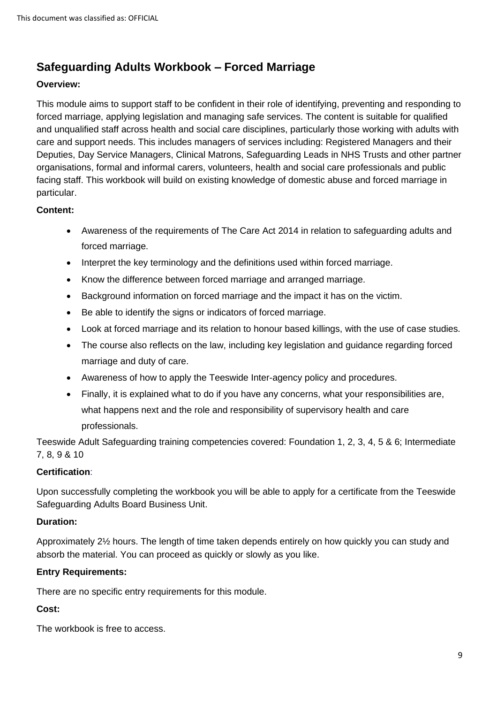# <span id="page-8-0"></span>**Safeguarding Adults Workbook – Forced Marriage**

#### **Overview:**

This module aims to support staff to be confident in their role of identifying, preventing and responding to forced marriage, applying legislation and managing safe services. The content is suitable for qualified and unqualified staff across health and social care disciplines, particularly those working with adults with care and support needs. This includes managers of services including: Registered Managers and their Deputies, Day Service Managers, Clinical Matrons, Safeguarding Leads in NHS Trusts and other partner organisations, formal and informal carers, volunteers, health and social care professionals and public facing staff. This workbook will build on existing knowledge of domestic abuse and forced marriage in particular.

#### **Content:**

- Awareness of the requirements of The Care Act 2014 in relation to safeguarding adults and forced marriage.
- Interpret the key terminology and the definitions used within forced marriage.
- Know the difference between forced marriage and arranged marriage.
- Background information on forced marriage and the impact it has on the victim.
- Be able to identify the signs or indicators of forced marriage.
- Look at forced marriage and its relation to honour based killings, with the use of case studies.
- The course also reflects on the law, including key legislation and guidance regarding forced marriage and duty of care.
- Awareness of how to apply the Teeswide Inter-agency policy and procedures.
- Finally, it is explained what to do if you have any concerns, what your responsibilities are, what happens next and the role and responsibility of supervisory health and care professionals.

Teeswide Adult Safeguarding training competencies covered: Foundation 1, 2, 3, 4, 5 & 6; Intermediate 7, 8, 9 & 10

#### **Certification**:

Upon successfully completing the workbook you will be able to apply for a certificate from the Teeswide Safeguarding Adults Board Business Unit.

#### **Duration:**

Approximately 2½ hours. The length of time taken depends entirely on how quickly you can study and absorb the material. You can proceed as quickly or slowly as you like.

#### **Entry Requirements:**

There are no specific entry requirements for this module.

#### **Cost:**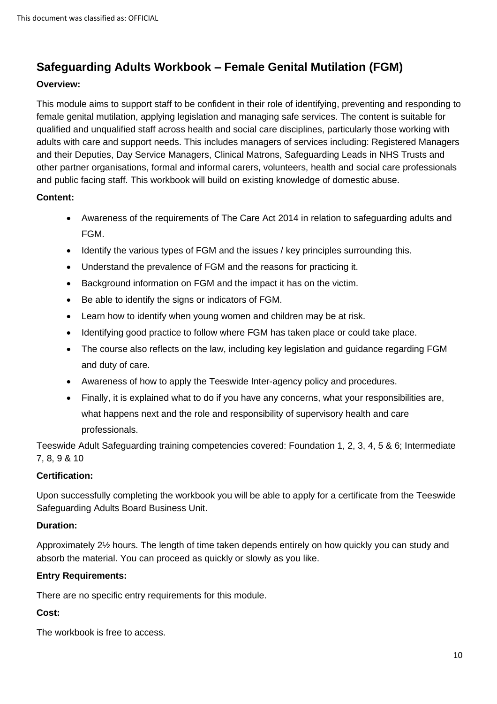# <span id="page-9-0"></span>**Safeguarding Adults Workbook – Female Genital Mutilation (FGM)**

#### **Overview:**

This module aims to support staff to be confident in their role of identifying, preventing and responding to female genital mutilation, applying legislation and managing safe services. The content is suitable for qualified and unqualified staff across health and social care disciplines, particularly those working with adults with care and support needs. This includes managers of services including: Registered Managers and their Deputies, Day Service Managers, Clinical Matrons, Safeguarding Leads in NHS Trusts and other partner organisations, formal and informal carers, volunteers, health and social care professionals and public facing staff. This workbook will build on existing knowledge of domestic abuse.

#### **Content:**

- Awareness of the requirements of The Care Act 2014 in relation to safeguarding adults and FGM.
- Identify the various types of FGM and the issues / key principles surrounding this.
- Understand the prevalence of FGM and the reasons for practicing it.
- Background information on FGM and the impact it has on the victim.
- Be able to identify the signs or indicators of FGM.
- Learn how to identify when young women and children may be at risk.
- Identifying good practice to follow where FGM has taken place or could take place.
- The course also reflects on the law, including key legislation and guidance regarding FGM and duty of care.
- Awareness of how to apply the Teeswide Inter-agency policy and procedures.
- Finally, it is explained what to do if you have any concerns, what your responsibilities are, what happens next and the role and responsibility of supervisory health and care professionals.

Teeswide Adult Safeguarding training competencies covered: Foundation 1, 2, 3, 4, 5 & 6; Intermediate 7, 8, 9 & 10

#### **Certification:**

Upon successfully completing the workbook you will be able to apply for a certificate from the Teeswide Safeguarding Adults Board Business Unit.

#### **Duration:**

Approximately 2½ hours. The length of time taken depends entirely on how quickly you can study and absorb the material. You can proceed as quickly or slowly as you like.

#### **Entry Requirements:**

There are no specific entry requirements for this module.

#### **Cost:**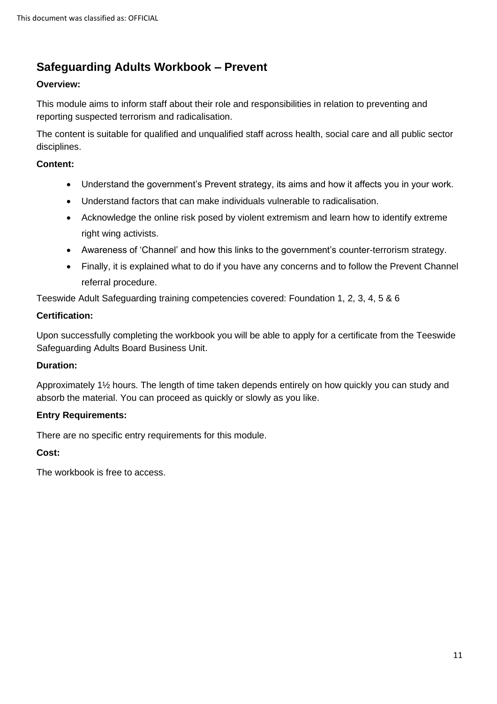# <span id="page-10-0"></span>**Safeguarding Adults Workbook – Prevent**

#### **Overview:**

This module aims to inform staff about their role and responsibilities in relation to preventing and reporting suspected terrorism and radicalisation.

The content is suitable for qualified and unqualified staff across health, social care and all public sector disciplines.

#### **Content:**

- Understand the government's Prevent strategy, its aims and how it affects you in your work.
- Understand factors that can make individuals vulnerable to radicalisation.
- Acknowledge the online risk posed by violent extremism and learn how to identify extreme right wing activists.
- Awareness of 'Channel' and how this links to the government's counter-terrorism strategy.
- Finally, it is explained what to do if you have any concerns and to follow the Prevent Channel referral procedure.

Teeswide Adult Safeguarding training competencies covered: Foundation 1, 2, 3, 4, 5 & 6

#### **Certification:**

Upon successfully completing the workbook you will be able to apply for a certificate from the Teeswide Safeguarding Adults Board Business Unit.

#### **Duration:**

Approximately 1½ hours. The length of time taken depends entirely on how quickly you can study and absorb the material. You can proceed as quickly or slowly as you like.

#### **Entry Requirements:**

There are no specific entry requirements for this module.

#### **Cost:**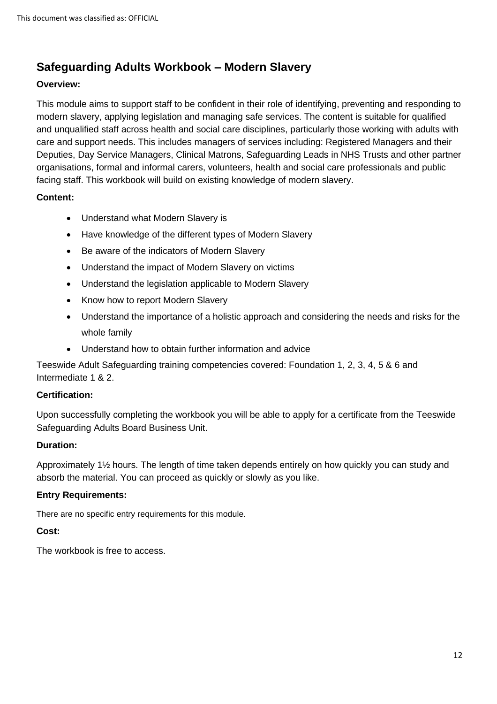# <span id="page-11-0"></span>**Safeguarding Adults Workbook – Modern Slavery**

#### **Overview:**

This module aims to support staff to be confident in their role of identifying, preventing and responding to modern slavery, applying legislation and managing safe services. The content is suitable for qualified and unqualified staff across health and social care disciplines, particularly those working with adults with care and support needs. This includes managers of services including: Registered Managers and their Deputies, Day Service Managers, Clinical Matrons, Safeguarding Leads in NHS Trusts and other partner organisations, formal and informal carers, volunteers, health and social care professionals and public facing staff. This workbook will build on existing knowledge of modern slavery.

#### **Content:**

- Understand what Modern Slavery is
- Have knowledge of the different types of Modern Slavery
- Be aware of the indicators of Modern Slavery
- Understand the impact of Modern Slavery on victims
- Understand the legislation applicable to Modern Slavery
- Know how to report Modern Slavery
- Understand the importance of a holistic approach and considering the needs and risks for the whole family
- Understand how to obtain further information and advice

Teeswide Adult Safeguarding training competencies covered: Foundation 1, 2, 3, 4, 5 & 6 and Intermediate 1 & 2.

#### **Certification:**

Upon successfully completing the workbook you will be able to apply for a certificate from the Teeswide Safeguarding Adults Board Business Unit.

#### **Duration:**

Approximately 1½ hours. The length of time taken depends entirely on how quickly you can study and absorb the material. You can proceed as quickly or slowly as you like.

#### **Entry Requirements:**

There are no specific entry requirements for this module.

#### **Cost:**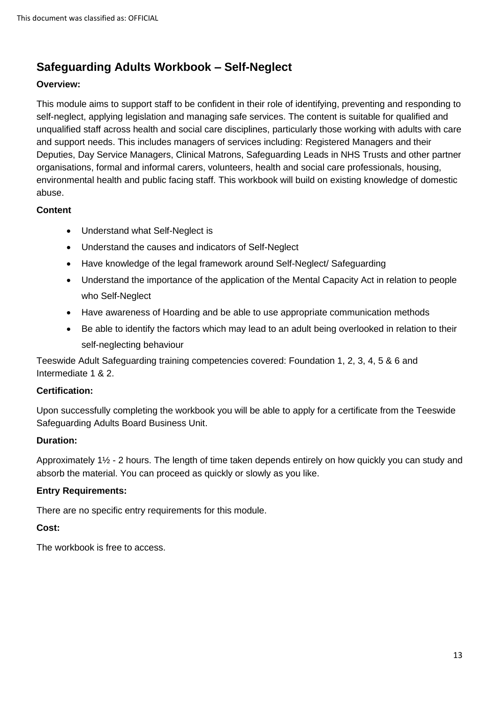# <span id="page-12-0"></span>**Safeguarding Adults Workbook – Self-Neglect**

#### **Overview:**

This module aims to support staff to be confident in their role of identifying, preventing and responding to self-neglect, applying legislation and managing safe services. The content is suitable for qualified and unqualified staff across health and social care disciplines, particularly those working with adults with care and support needs. This includes managers of services including: Registered Managers and their Deputies, Day Service Managers, Clinical Matrons, Safeguarding Leads in NHS Trusts and other partner organisations, formal and informal carers, volunteers, health and social care professionals, housing, environmental health and public facing staff. This workbook will build on existing knowledge of domestic abuse.

#### **Content**

- Understand what Self-Neglect is
- Understand the causes and indicators of Self-Neglect
- Have knowledge of the legal framework around Self-Neglect/ Safeguarding
- Understand the importance of the application of the Mental Capacity Act in relation to people who Self-Neglect
- Have awareness of Hoarding and be able to use appropriate communication methods
- Be able to identify the factors which may lead to an adult being overlooked in relation to their self-neglecting behaviour

Teeswide Adult Safeguarding training competencies covered: Foundation 1, 2, 3, 4, 5 & 6 and Intermediate 1 & 2.

#### **Certification:**

Upon successfully completing the workbook you will be able to apply for a certificate from the Teeswide Safeguarding Adults Board Business Unit.

#### **Duration:**

Approximately 1½ - 2 hours. The length of time taken depends entirely on how quickly you can study and absorb the material. You can proceed as quickly or slowly as you like.

#### **Entry Requirements:**

There are no specific entry requirements for this module.

#### **Cost:**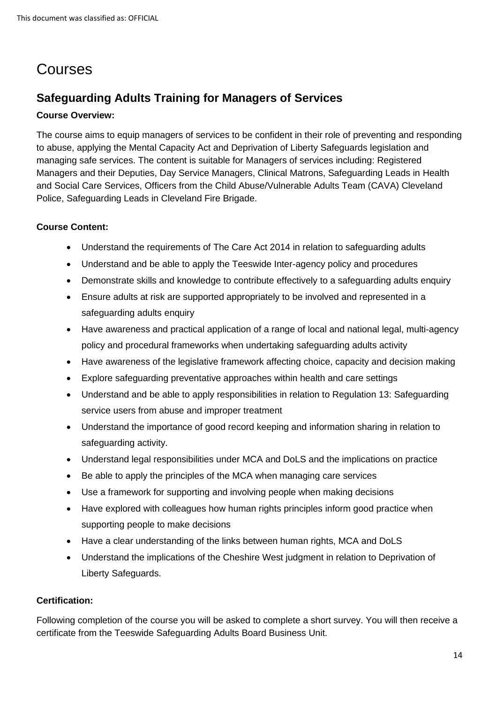# <span id="page-13-0"></span>Courses

# <span id="page-13-1"></span>**Safeguarding Adults Training for Managers of Services**

#### **Course Overview:**

The course aims to equip managers of services to be confident in their role of preventing and responding to abuse, applying the Mental Capacity Act and Deprivation of Liberty Safeguards legislation and managing safe services. The content is suitable for Managers of services including: Registered Managers and their Deputies, Day Service Managers, Clinical Matrons, Safeguarding Leads in Health and Social Care Services, Officers from the Child Abuse/Vulnerable Adults Team (CAVA) Cleveland Police, Safeguarding Leads in Cleveland Fire Brigade.

#### **Course Content:**

- Understand the requirements of The Care Act 2014 in relation to safeguarding adults
- Understand and be able to apply the Teeswide Inter-agency policy and procedures
- Demonstrate skills and knowledge to contribute effectively to a safeguarding adults enquiry
- Ensure adults at risk are supported appropriately to be involved and represented in a safeguarding adults enquiry
- Have awareness and practical application of a range of local and national legal, multi-agency policy and procedural frameworks when undertaking safeguarding adults activity
- Have awareness of the legislative framework affecting choice, capacity and decision making
- Explore safeguarding preventative approaches within health and care settings
- Understand and be able to apply responsibilities in relation to Regulation 13: Safeguarding service users from abuse and improper treatment
- Understand the importance of good record keeping and information sharing in relation to safeguarding activity.
- Understand legal responsibilities under MCA and DoLS and the implications on practice
- Be able to apply the principles of the MCA when managing care services
- Use a framework for supporting and involving people when making decisions
- Have explored with colleagues how human rights principles inform good practice when supporting people to make decisions
- Have a clear understanding of the links between human rights, MCA and DoLS
- Understand the implications of the Cheshire West judgment in relation to Deprivation of Liberty Safeguards.

#### **Certification:**

Following completion of the course you will be asked to complete a short survey. You will then receive a certificate from the Teeswide Safeguarding Adults Board Business Unit.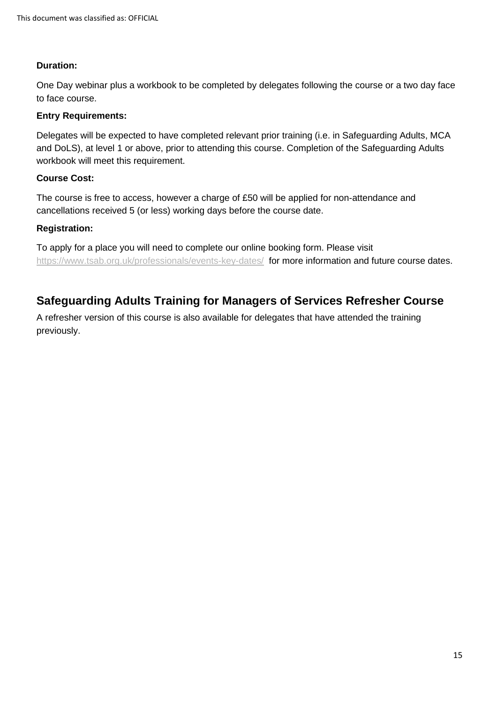#### **Duration:**

One Day webinar plus a workbook to be completed by delegates following the course or a two day face to face course.

#### **Entry Requirements:**

Delegates will be expected to have completed relevant prior training (i.e. in Safeguarding Adults, MCA and DoLS), at level 1 or above, prior to attending this course. Completion of the Safeguarding Adults workbook will meet this requirement.

#### **Course Cost:**

The course is free to access, however a charge of £50 will be applied for non-attendance and cancellations received 5 (or less) working days before the course date.

#### **Registration:**

To apply for a place you will need to complete our online booking form. Please visit <https://www.tsab.org.uk/professionals/events-key-dates/>for more information and future course dates.

# <span id="page-14-0"></span>**Safeguarding Adults Training for Managers of Services Refresher Course**

A refresher version of this course is also available for delegates that have attended the training previously.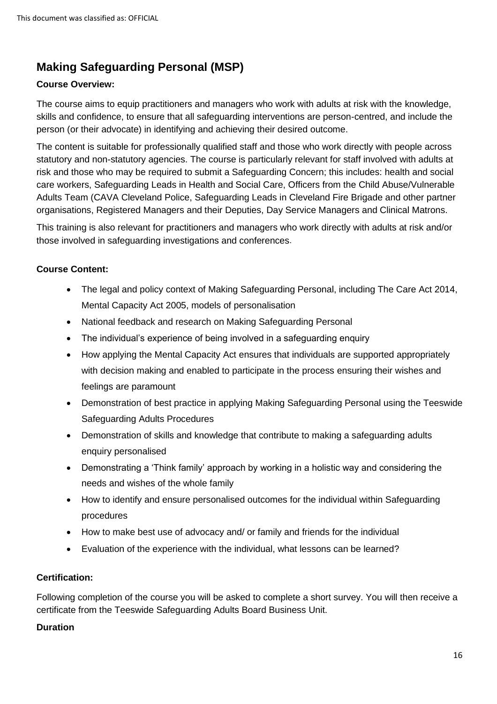# <span id="page-15-0"></span>**Making Safeguarding Personal (MSP)**

#### **Course Overview:**

The course aims to equip practitioners and managers who work with adults at risk with the knowledge, skills and confidence, to ensure that all safeguarding interventions are person-centred, and include the person (or their advocate) in identifying and achieving their desired outcome.

The content is suitable for professionally qualified staff and those who work directly with people across statutory and non-statutory agencies. The course is particularly relevant for staff involved with adults at risk and those who may be required to submit a Safeguarding Concern; this includes: health and social care workers, Safeguarding Leads in Health and Social Care, Officers from the Child Abuse/Vulnerable Adults Team (CAVA Cleveland Police, Safeguarding Leads in Cleveland Fire Brigade and other partner organisations, Registered Managers and their Deputies, Day Service Managers and Clinical Matrons.

This training is also relevant for practitioners and managers who work directly with adults at risk and/or those involved in safeguarding investigations and conferences.

#### **Course Content:**

- The legal and policy context of Making Safeguarding Personal, including The Care Act 2014, Mental Capacity Act 2005, models of personalisation
- National feedback and research on Making Safeguarding Personal
- The individual's experience of being involved in a safeguarding enquiry
- How applying the Mental Capacity Act ensures that individuals are supported appropriately with decision making and enabled to participate in the process ensuring their wishes and feelings are paramount
- Demonstration of best practice in applying Making Safeguarding Personal using the Teeswide Safeguarding Adults Procedures
- Demonstration of skills and knowledge that contribute to making a safeguarding adults enquiry personalised
- Demonstrating a 'Think family' approach by working in a holistic way and considering the needs and wishes of the whole family
- How to identify and ensure personalised outcomes for the individual within Safeguarding procedures
- How to make best use of advocacy and/ or family and friends for the individual
- Evaluation of the experience with the individual, what lessons can be learned?

#### **Certification:**

Following completion of the course you will be asked to complete a short survey. You will then receive a certificate from the Teeswide Safeguarding Adults Board Business Unit.

#### **Duration**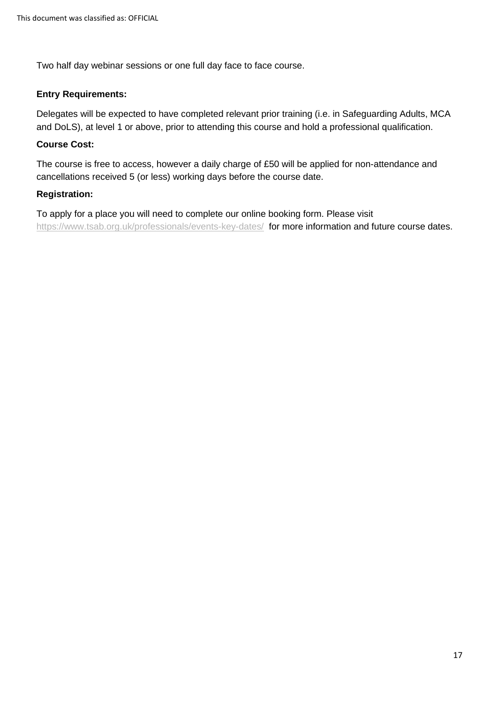Two half day webinar sessions or one full day face to face course.

#### **Entry Requirements:**

Delegates will be expected to have completed relevant prior training (i.e. in Safeguarding Adults, MCA and DoLS), at level 1 or above, prior to attending this course and hold a professional qualification.

#### **Course Cost:**

The course is free to access, however a daily charge of £50 will be applied for non-attendance and cancellations received 5 (or less) working days before the course date.

#### **Registration:**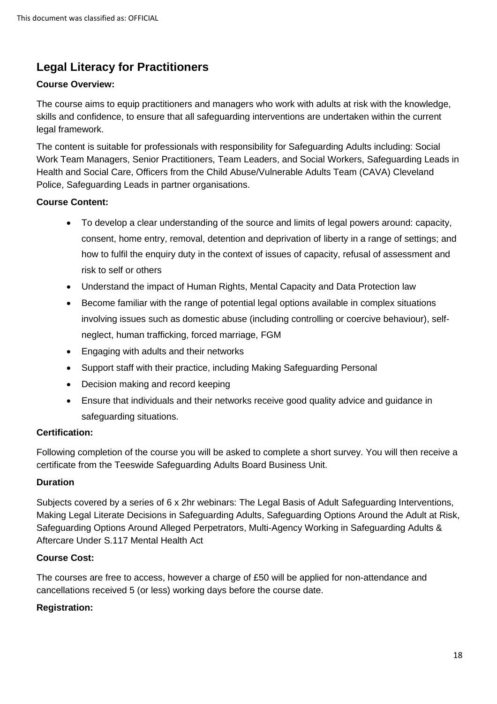# <span id="page-17-0"></span>**Legal Literacy for Practitioners**

#### **Course Overview:**

The course aims to equip practitioners and managers who work with adults at risk with the knowledge, skills and confidence, to ensure that all safeguarding interventions are undertaken within the current legal framework.

The content is suitable for professionals with responsibility for Safeguarding Adults including: Social Work Team Managers, Senior Practitioners, Team Leaders, and Social Workers, Safeguarding Leads in Health and Social Care, Officers from the Child Abuse/Vulnerable Adults Team (CAVA) Cleveland Police, Safeguarding Leads in partner organisations.

#### **Course Content:**

- To develop a clear understanding of the source and limits of legal powers around: capacity, consent, home entry, removal, detention and deprivation of liberty in a range of settings; and how to fulfil the enquiry duty in the context of issues of capacity, refusal of assessment and risk to self or others
- Understand the impact of Human Rights, Mental Capacity and Data Protection law
- Become familiar with the range of potential legal options available in complex situations involving issues such as domestic abuse (including controlling or coercive behaviour), selfneglect, human trafficking, forced marriage, FGM
- Engaging with adults and their networks
- Support staff with their practice, including Making Safeguarding Personal
- Decision making and record keeping
- Ensure that individuals and their networks receive good quality advice and guidance in safeguarding situations.

#### **Certification:**

Following completion of the course you will be asked to complete a short survey. You will then receive a certificate from the Teeswide Safeguarding Adults Board Business Unit.

#### **Duration**

Subjects covered by a series of 6 x 2hr webinars: The Legal Basis of Adult Safeguarding Interventions, Making Legal Literate Decisions in Safeguarding Adults, Safeguarding Options Around the Adult at Risk, Safeguarding Options Around Alleged Perpetrators, Multi-Agency Working in Safeguarding Adults & Aftercare Under S.117 Mental Health Act

#### **Course Cost:**

The courses are free to access, however a charge of £50 will be applied for non-attendance and cancellations received 5 (or less) working days before the course date.

#### **Registration:**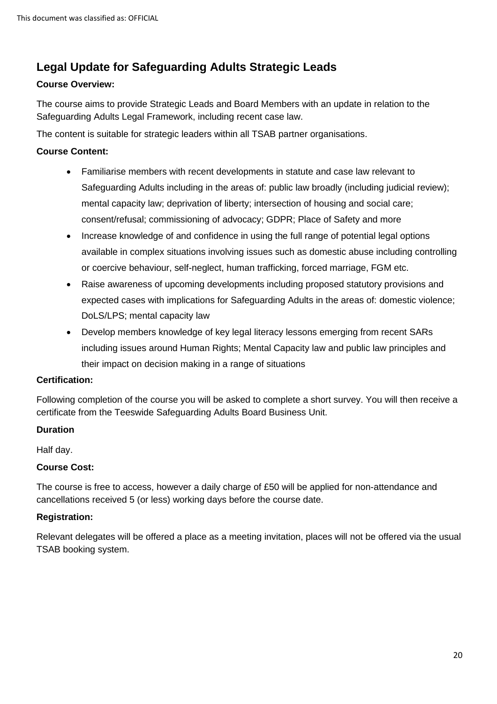# <span id="page-19-0"></span>**Legal Update for Safeguarding Adults Strategic Leads**

#### **Course Overview:**

The course aims to provide Strategic Leads and Board Members with an update in relation to the Safeguarding Adults Legal Framework, including recent case law.

The content is suitable for strategic leaders within all TSAB partner organisations.

#### **Course Content:**

- Familiarise members with recent developments in statute and case law relevant to Safeguarding Adults including in the areas of: public law broadly (including judicial review); mental capacity law; deprivation of liberty; intersection of housing and social care; consent/refusal; commissioning of advocacy; GDPR; Place of Safety and more
- Increase knowledge of and confidence in using the full range of potential legal options available in complex situations involving issues such as domestic abuse including controlling or coercive behaviour, self-neglect, human trafficking, forced marriage, FGM etc.
- Raise awareness of upcoming developments including proposed statutory provisions and expected cases with implications for Safeguarding Adults in the areas of: domestic violence; DoLS/LPS; mental capacity law
- Develop members knowledge of key legal literacy lessons emerging from recent SARs including issues around Human Rights; Mental Capacity law and public law principles and their impact on decision making in a range of situations

#### **Certification:**

Following completion of the course you will be asked to complete a short survey. You will then receive a certificate from the Teeswide Safeguarding Adults Board Business Unit.

#### **Duration**

Half day.

#### **Course Cost:**

The course is free to access, however a daily charge of £50 will be applied for non-attendance and cancellations received 5 (or less) working days before the course date.

#### **Registration:**

Relevant delegates will be offered a place as a meeting invitation, places will not be offered via the usual TSAB booking system.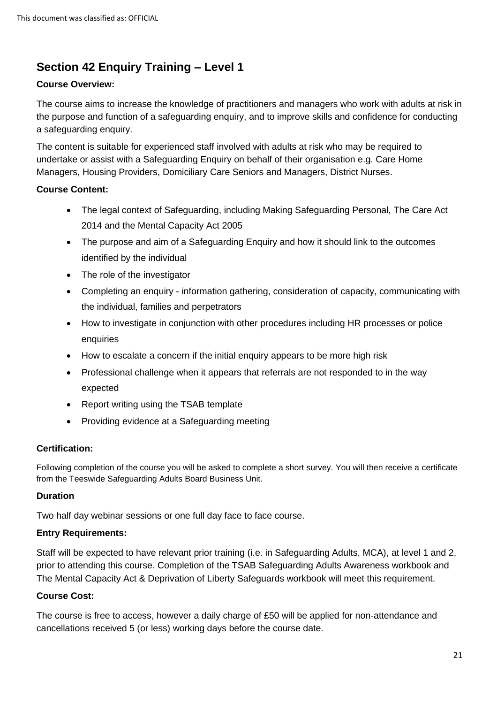# <span id="page-20-0"></span>**Section 42 Enquiry Training – Level 1**

#### **Course Overview:**

The course aims to increase the knowledge of practitioners and managers who work with adults at risk in the purpose and function of a safeguarding enquiry, and to improve skills and confidence for conducting a safeguarding enquiry.

The content is suitable for experienced staff involved with adults at risk who may be required to undertake or assist with a Safeguarding Enquiry on behalf of their organisation e.g. Care Home Managers, Housing Providers, Domiciliary Care Seniors and Managers, District Nurses.

#### **Course Content:**

- The legal context of Safeguarding, including Making Safeguarding Personal, The Care Act 2014 and the Mental Capacity Act 2005
- The purpose and aim of a Safeguarding Enquiry and how it should link to the outcomes identified by the individual
- The role of the investigator
- Completing an enquiry information gathering, consideration of capacity, communicating with the individual, families and perpetrators
- How to investigate in conjunction with other procedures including HR processes or police enquiries
- How to escalate a concern if the initial enquiry appears to be more high risk
- Professional challenge when it appears that referrals are not responded to in the way expected
- Report writing using the TSAB template
- Providing evidence at a Safeguarding meeting

#### **Certification:**

Following completion of the course you will be asked to complete a short survey. You will then receive a certificate from the Teeswide Safeguarding Adults Board Business Unit.

#### **Duration**

Two half day webinar sessions or one full day face to face course.

#### **Entry Requirements:**

Staff will be expected to have relevant prior training (i.e. in Safeguarding Adults, MCA), at level 1 and 2, prior to attending this course. Completion of the TSAB Safeguarding Adults Awareness workbook and The Mental Capacity Act & Deprivation of Liberty Safeguards workbook will meet this requirement.

#### **Course Cost:**

The course is free to access, however a daily charge of £50 will be applied for non-attendance and cancellations received 5 (or less) working days before the course date.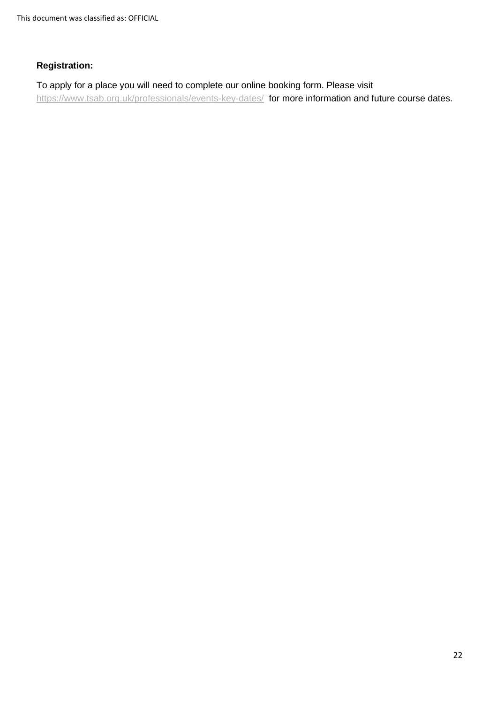This document was classified as: OFFICIAL

#### **Registration:**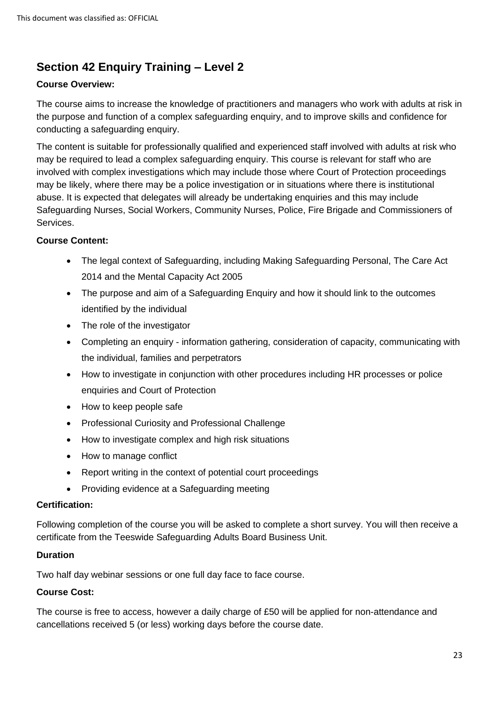# <span id="page-22-0"></span>**Section 42 Enquiry Training – Level 2**

#### **Course Overview:**

The course aims to increase the knowledge of practitioners and managers who work with adults at risk in the purpose and function of a complex safeguarding enquiry, and to improve skills and confidence for conducting a safeguarding enquiry.

The content is suitable for professionally qualified and experienced staff involved with adults at risk who may be required to lead a complex safeguarding enquiry. This course is relevant for staff who are involved with complex investigations which may include those where Court of Protection proceedings may be likely, where there may be a police investigation or in situations where there is institutional abuse. It is expected that delegates will already be undertaking enquiries and this may include Safeguarding Nurses, Social Workers, Community Nurses, Police, Fire Brigade and Commissioners of Services.

#### **Course Content:**

- The legal context of Safeguarding, including Making Safeguarding Personal, The Care Act 2014 and the Mental Capacity Act 2005
- The purpose and aim of a Safeguarding Enquiry and how it should link to the outcomes identified by the individual
- The role of the investigator
- Completing an enquiry information gathering, consideration of capacity, communicating with the individual, families and perpetrators
- How to investigate in conjunction with other procedures including HR processes or police enquiries and Court of Protection
- How to keep people safe
- Professional Curiosity and Professional Challenge
- How to investigate complex and high risk situations
- How to manage conflict
- Report writing in the context of potential court proceedings
- Providing evidence at a Safeguarding meeting

#### **Certification:**

Following completion of the course you will be asked to complete a short survey. You will then receive a certificate from the Teeswide Safeguarding Adults Board Business Unit.

#### **Duration**

Two half day webinar sessions or one full day face to face course.

#### **Course Cost:**

The course is free to access, however a daily charge of £50 will be applied for non-attendance and cancellations received 5 (or less) working days before the course date.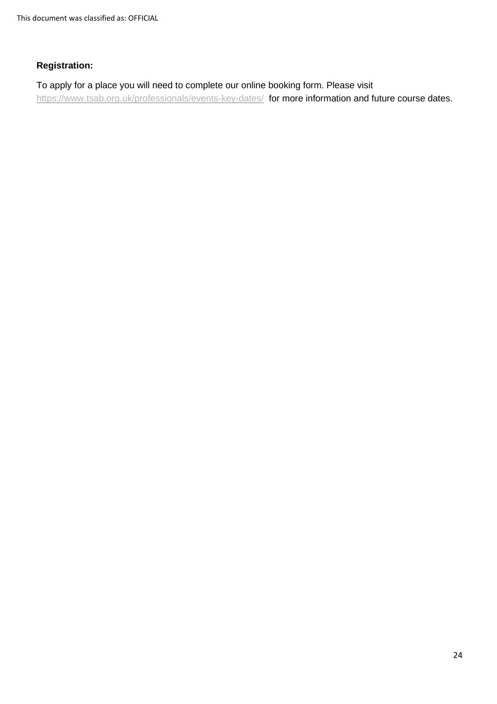This document was classified as: OFFICIAL

#### **Registration:**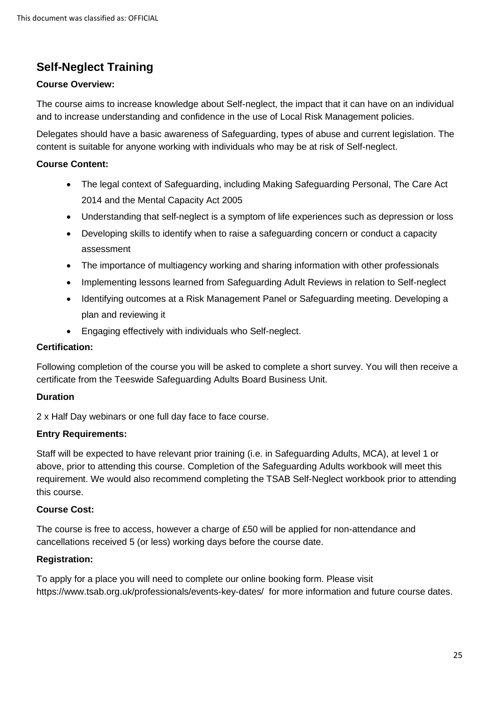# <span id="page-24-0"></span>**Self-Neglect Training**

#### **Course Overview:**

The course aims to increase knowledge about Self-neglect, the impact that it can have on an individual and to increase understanding and confidence in the use of Local Risk Management policies.

Delegates should have a basic awareness of Safeguarding, types of abuse and current legislation. The content is suitable for anyone working with individuals who may be at risk of Self-neglect.

#### **Course Content:**

- The legal context of Safeguarding, including Making Safeguarding Personal, The Care Act 2014 and the Mental Capacity Act 2005
- Understanding that self-neglect is a symptom of life experiences such as depression or loss
- Developing skills to identify when to raise a safeguarding concern or conduct a capacity assessment
- The importance of multiagency working and sharing information with other professionals
- Implementing lessons learned from Safeguarding Adult Reviews in relation to Self-neglect
- Identifying outcomes at a Risk Management Panel or Safeguarding meeting. Developing a plan and reviewing it
- Engaging effectively with individuals who Self-neglect.

#### **Certification:**

Following completion of the course you will be asked to complete a short survey. You will then receive a certificate from the Teeswide Safeguarding Adults Board Business Unit.

#### **Duration**

2 x Half Day webinars or one full day face to face course.

#### **Entry Requirements:**

Staff will be expected to have relevant prior training (i.e. in Safeguarding Adults, MCA), at level 1 or above, prior to attending this course. Completion of the Safeguarding Adults workbook will meet this requirement. We would also recommend completing the TSAB Self-Neglect workbook prior to attending this course.

#### **Course Cost:**

The course is free to access, however a charge of £50 will be applied for non-attendance and cancellations received 5 (or less) working days before the course date.

#### **Registration:**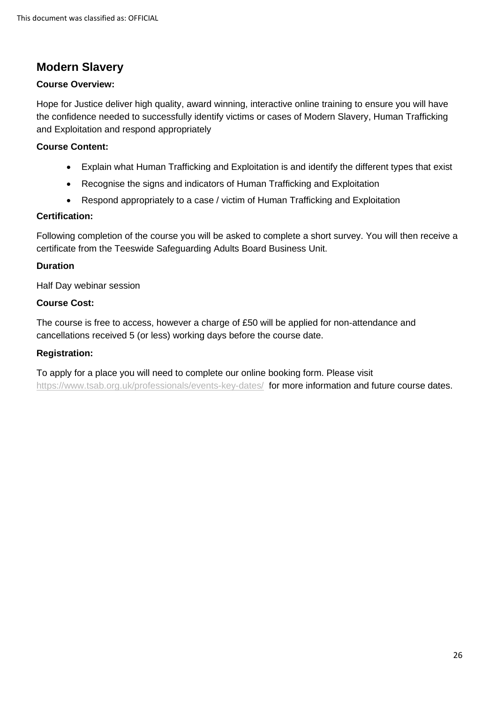### <span id="page-25-0"></span>**Modern Slavery**

#### **Course Overview:**

Hope for Justice deliver high quality, award winning, interactive online training to ensure you will have the confidence needed to successfully identify victims or cases of Modern Slavery, Human Trafficking and Exploitation and respond appropriately

#### **Course Content:**

- Explain what Human Trafficking and Exploitation is and identify the different types that exist
- Recognise the signs and indicators of Human Trafficking and Exploitation
- Respond appropriately to a case / victim of Human Trafficking and Exploitation

#### **Certification:**

Following completion of the course you will be asked to complete a short survey. You will then receive a certificate from the Teeswide Safeguarding Adults Board Business Unit.

#### **Duration**

Half Day webinar session

#### **Course Cost:**

The course is free to access, however a charge of £50 will be applied for non-attendance and cancellations received 5 (or less) working days before the course date.

#### **Registration:**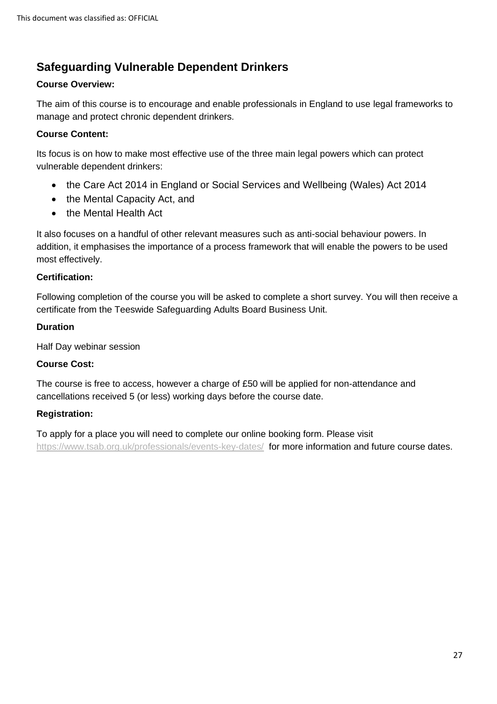# <span id="page-26-0"></span>**Safeguarding Vulnerable Dependent Drinkers**

#### **Course Overview:**

The aim of this course is to encourage and enable professionals in England to use legal frameworks to manage and protect chronic dependent drinkers.

#### **Course Content:**

Its focus is on how to make most effective use of the three main legal powers which can protect vulnerable dependent drinkers:

- the Care Act 2014 in England or Social Services and Wellbeing (Wales) Act 2014
- the Mental Capacity Act, and
- the Mental Health Act

It also focuses on a handful of other relevant measures such as anti-social behaviour powers. In addition, it emphasises the importance of a process framework that will enable the powers to be used most effectively.

#### **Certification:**

Following completion of the course you will be asked to complete a short survey. You will then receive a certificate from the Teeswide Safeguarding Adults Board Business Unit.

#### **Duration**

Half Day webinar session

#### **Course Cost:**

The course is free to access, however a charge of £50 will be applied for non-attendance and cancellations received 5 (or less) working days before the course date.

#### **Registration:**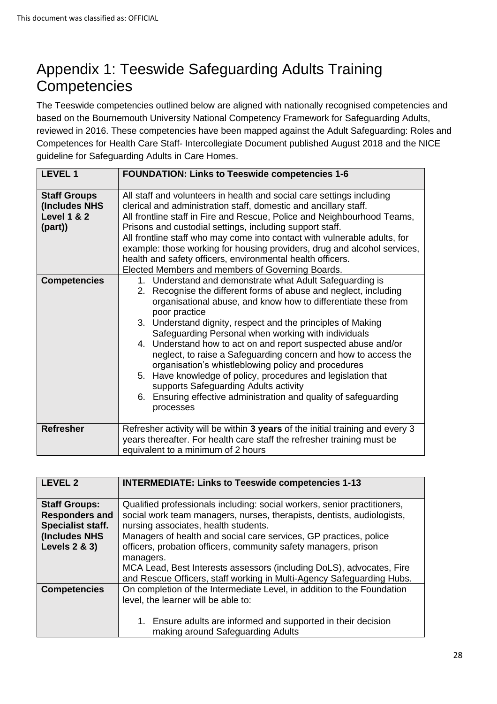# <span id="page-27-0"></span>Appendix 1: Teeswide Safeguarding Adults Training **Competencies**

The Teeswide competencies outlined below are aligned with nationally recognised competencies and based on the Bournemouth University National Competency Framework for Safeguarding Adults, reviewed in 2016. These competencies have been mapped against the Adult Safeguarding: Roles and Competences for Health Care Staff- Intercollegiate Document published August 2018 and the NICE guideline for Safeguarding Adults in Care Homes.

| <b>LEVEL 1</b>                                                           | <b>FOUNDATION: Links to Teeswide competencies 1-6</b>                                                                                                                                                                                                                                                                                                                                                                                                                                                                                                                                                                                                                                                                     |
|--------------------------------------------------------------------------|---------------------------------------------------------------------------------------------------------------------------------------------------------------------------------------------------------------------------------------------------------------------------------------------------------------------------------------------------------------------------------------------------------------------------------------------------------------------------------------------------------------------------------------------------------------------------------------------------------------------------------------------------------------------------------------------------------------------------|
| <b>Staff Groups</b><br>(Includes NHS<br><b>Level 1 &amp; 2</b><br>(part) | All staff and volunteers in health and social care settings including<br>clerical and administration staff, domestic and ancillary staff.<br>All frontline staff in Fire and Rescue, Police and Neighbourhood Teams,<br>Prisons and custodial settings, including support staff.<br>All frontline staff who may come into contact with vulnerable adults, for<br>example: those working for housing providers, drug and alcohol services,<br>health and safety officers, environmental health officers.<br>Elected Members and members of Governing Boards.                                                                                                                                                               |
| <b>Competencies</b>                                                      | 1. Understand and demonstrate what Adult Safeguarding is<br>2. Recognise the different forms of abuse and neglect, including<br>organisational abuse, and know how to differentiate these from<br>poor practice<br>3. Understand dignity, respect and the principles of Making<br>Safeguarding Personal when working with individuals<br>4. Understand how to act on and report suspected abuse and/or<br>neglect, to raise a Safeguarding concern and how to access the<br>organisation's whistleblowing policy and procedures<br>5. Have knowledge of policy, procedures and legislation that<br>supports Safeguarding Adults activity<br>6. Ensuring effective administration and quality of safeguarding<br>processes |
| <b>Refresher</b>                                                         | Refresher activity will be within 3 years of the initial training and every 3<br>years thereafter. For health care staff the refresher training must be<br>equivalent to a minimum of 2 hours                                                                                                                                                                                                                                                                                                                                                                                                                                                                                                                             |

| <b>LEVEL 2</b>                                                                                                  | <b>INTERMEDIATE: Links to Teeswide competencies 1-13</b>                                                                                                                                                                                                                                                                                                                                                                                                                                         |
|-----------------------------------------------------------------------------------------------------------------|--------------------------------------------------------------------------------------------------------------------------------------------------------------------------------------------------------------------------------------------------------------------------------------------------------------------------------------------------------------------------------------------------------------------------------------------------------------------------------------------------|
| <b>Staff Groups:</b><br><b>Responders and</b><br>Specialist staff.<br>(Includes NHS<br><b>Levels 2 &amp; 3)</b> | Qualified professionals including: social workers, senior practitioners,<br>social work team managers, nurses, therapists, dentists, audiologists,<br>nursing associates, health students.<br>Managers of health and social care services, GP practices, police<br>officers, probation officers, community safety managers, prison<br>managers.<br>MCA Lead, Best Interests assessors (including DoLS), advocates, Fire<br>and Rescue Officers, staff working in Multi-Agency Safeguarding Hubs. |
| <b>Competencies</b>                                                                                             | On completion of the Intermediate Level, in addition to the Foundation<br>level, the learner will be able to:<br>1. Ensure adults are informed and supported in their decision<br>making around Safeguarding Adults                                                                                                                                                                                                                                                                              |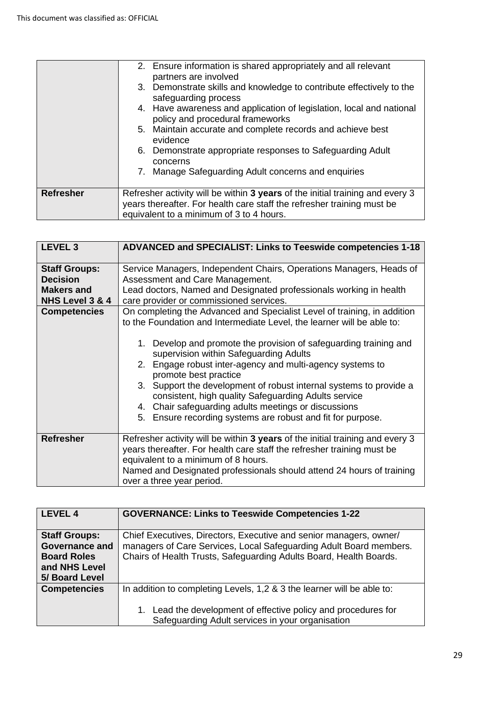|                  | 2. Ensure information is shared appropriately and all relevant                                                                                          |
|------------------|---------------------------------------------------------------------------------------------------------------------------------------------------------|
|                  | partners are involved                                                                                                                                   |
|                  | 3. Demonstrate skills and knowledge to contribute effectively to the<br>safeguarding process                                                            |
|                  | 4. Have awareness and application of legislation, local and national<br>policy and procedural frameworks                                                |
|                  | 5. Maintain accurate and complete records and achieve best<br>evidence                                                                                  |
|                  | 6. Demonstrate appropriate responses to Safeguarding Adult<br>concerns                                                                                  |
|                  | Manage Safeguarding Adult concerns and enquiries<br>7.                                                                                                  |
| <b>Refresher</b> | Refresher activity will be within 3 years of the initial training and every 3<br>years thereafter. For health care staff the refresher training must be |
|                  | equivalent to a minimum of 3 to 4 hours.                                                                                                                |

| <b>LEVEL 3</b>                                                                                         | ADVANCED and SPECIALIST: Links to Teeswide competencies 1-18                                                                                                                                                                                                                                                                                                                                                                                                                                                                        |
|--------------------------------------------------------------------------------------------------------|-------------------------------------------------------------------------------------------------------------------------------------------------------------------------------------------------------------------------------------------------------------------------------------------------------------------------------------------------------------------------------------------------------------------------------------------------------------------------------------------------------------------------------------|
| <b>Staff Groups:</b><br><b>Decision</b><br><b>Makers and</b><br>NHS Level 3 & 4<br><b>Competencies</b> | Service Managers, Independent Chairs, Operations Managers, Heads of<br>Assessment and Care Management.<br>Lead doctors, Named and Designated professionals working in health<br>care provider or commissioned services.<br>On completing the Advanced and Specialist Level of training, in addition                                                                                                                                                                                                                                 |
|                                                                                                        | to the Foundation and Intermediate Level, the learner will be able to:<br>1. Develop and promote the provision of safeguarding training and<br>supervision within Safeguarding Adults<br>2. Engage robust inter-agency and multi-agency systems to<br>promote best practice<br>3. Support the development of robust internal systems to provide a<br>consistent, high quality Safeguarding Adults service<br>4. Chair safeguarding adults meetings or discussions<br>Ensure recording systems are robust and fit for purpose.<br>5. |
| <b>Refresher</b>                                                                                       | Refresher activity will be within 3 years of the initial training and every 3<br>years thereafter. For health care staff the refresher training must be<br>equivalent to a minimum of 8 hours.<br>Named and Designated professionals should attend 24 hours of training<br>over a three year period.                                                                                                                                                                                                                                |

| <b>LEVEL 4</b>                                                                       | <b>GOVERNANCE: Links to Teeswide Competencies 1-22</b>                                                                                                                                                         |
|--------------------------------------------------------------------------------------|----------------------------------------------------------------------------------------------------------------------------------------------------------------------------------------------------------------|
| <b>Staff Groups:</b><br><b>Governance and</b><br><b>Board Roles</b><br>and NHS Level | Chief Executives, Directors, Executive and senior managers, owner/<br>managers of Care Services, Local Safeguarding Adult Board members.<br>Chairs of Health Trusts, Safeguarding Adults Board, Health Boards. |
| 5/ Board Level<br><b>Competencies</b>                                                | In addition to completing Levels, 1,2 & 3 the learner will be able to:<br>1. Lead the development of effective policy and procedures for<br>Safeguarding Adult services in your organisation                   |